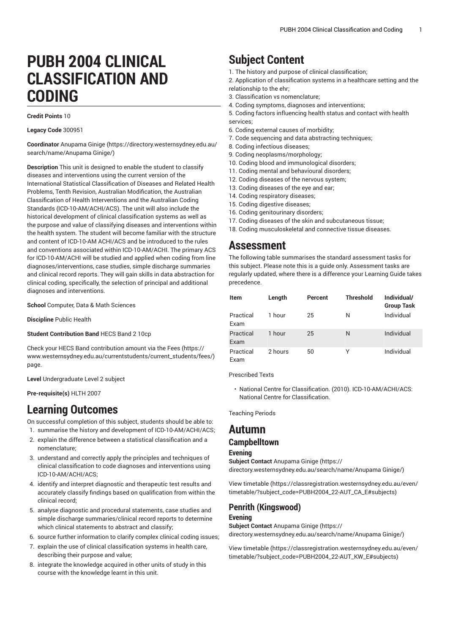# **PUBH 2004 CLINICAL CLASSIFICATION AND CODING**

**Credit Points** 10

#### **Legacy Code** 300951

**Coordinator** [Anupama Ginige \(https://directory.westernsydney.edu.au/](https://directory.westernsydney.edu.au/search/name/Anupama Ginige/) [search/name/Anupama](https://directory.westernsydney.edu.au/search/name/Anupama Ginige/) Ginige/)

**Description** This unit is designed to enable the student to classify diseases and interventions using the current version of the International Statistical Classification of Diseases and Related Health Problems, Tenth Revision, Australian Modification, the Australian Classification of Health Interventions and the Australian Coding Standards (ICD-10-AM/ACHI/ACS). The unit will also include the historical development of clinical classification systems as well as the purpose and value of classifying diseases and interventions within the health system. The student will become familiar with the structure and content of ICD-10-AM ACHI/ACS and be introduced to the rules and conventions associated within ICD-10-AM/ACHI. The primary ACS for ICD-10-AM/ACHI will be studied and applied when coding from line diagnoses/interventions, case studies, simple discharge summaries and clinical record reports. They will gain skills in data abstraction for clinical coding, specifically, the selection of principal and additional diagnoses and interventions.

**School** Computer, Data & Math Sciences

**Discipline** Public Health

**Student Contribution Band** HECS Band 2 10cp

Check your HECS Band contribution amount via the [Fees \(https://](https://www.westernsydney.edu.au/currentstudents/current_students/fees/) [www.westernsydney.edu.au/currentstudents/current\\_students/fees/\)](https://www.westernsydney.edu.au/currentstudents/current_students/fees/) page.

**Level** Undergraduate Level 2 subject

#### **Pre-requisite(s)** [HLTH](/search/?P=HLTH%202007) 2007

## **Learning Outcomes**

On successful completion of this subject, students should be able to: 1. summarise the history and development of ICD-10-AM/ACHI/ACS;

- 2. explain the difference between a statistical classification and a nomenclature;
- 3. understand and correctly apply the principles and techniques of clinical classification to code diagnoses and interventions using ICD-10-AM/ACHI/ACS;
- 4. identify and interpret diagnostic and therapeutic test results and accurately classify findings based on qualification from within the clinical record;
- 5. analyse diagnostic and procedural statements, case studies and simple discharge summaries/clinical record reports to determine which clinical statements to abstract and classify;
- 6. source further information to clarify complex clinical coding issues;
- 7. explain the use of clinical classification systems in health care, describing their purpose and value;
- 8. integrate the knowledge acquired in other units of study in this course with the knowledge learnt in this unit.

## **Subject Content**

- 1. The history and purpose of clinical classification;
- 2. Application of classification systems in a healthcare setting and the relationship to the ehr;
- 3. Classification vs nomenclature;
- 4. Coding symptoms, diagnoses and interventions;
- 5. Coding factors influencing health status and contact with health services;
- 6. Coding external causes of morbidity;
- 7. Code sequencing and data abstracting techniques;
- 8. Coding infectious diseases;
- 9. Coding neoplasms/morphology;
- 10. Coding blood and immunological disorders;
- 11. Coding mental and behavioural disorders;
- 12. Coding diseases of the nervous system;
- 13. Coding diseases of the eye and ear;
- 14. Coding respiratory diseases;
- 15. Coding digestive diseases;
- 16. Coding genitourinary disorders;
- 17. Coding diseases of the skin and subcutaneous tissue; 18. Coding musculoskeletal and connective tissue diseases.

## **Assessment**

The following table summarises the standard assessment tasks for this subject. Please note this is a guide only. Assessment tasks are regularly updated, where there is a difference your Learning Guide takes precedence.

| Item              | Length  | Percent | <b>Threshold</b> | Individual/<br><b>Group Task</b> |
|-------------------|---------|---------|------------------|----------------------------------|
| Practical<br>Exam | 1 hour  | 25      | N                | Individual                       |
| Practical<br>Exam | 1 hour  | 25      | N                | Individual                       |
| Practical<br>Exam | 2 hours | 50      | Υ                | Individual                       |

Prescribed Texts

• National Centre for Classification. (2010). ICD-10-AM/ACHI/ACS: National Centre for Classification.

Teaching Periods

## **Autumn**

### **Campbelltown**

#### **Evening**

**Subject Contact** [Anupama Ginige](https://directory.westernsydney.edu.au/search/name/Anupama Ginige/) ([https://](https://directory.westernsydney.edu.au/search/name/Anupama Ginige/) [directory.westernsydney.edu.au/search/name/Anupama](https://directory.westernsydney.edu.au/search/name/Anupama Ginige/) Ginige/)

[View timetable](https://classregistration.westernsydney.edu.au/even/timetable/?subject_code=PUBH2004_22-AUT_CA_E#subjects) [\(https://classregistration.westernsydney.edu.au/even/](https://classregistration.westernsydney.edu.au/even/timetable/?subject_code=PUBH2004_22-AUT_CA_E#subjects) [timetable/?subject\\_code=PUBH2004\\_22-AUT\\_CA\\_E#subjects\)](https://classregistration.westernsydney.edu.au/even/timetable/?subject_code=PUBH2004_22-AUT_CA_E#subjects)

## **Penrith (Kingswood)**

#### **Evening**

**Subject Contact** [Anupama Ginige](https://directory.westernsydney.edu.au/search/name/Anupama Ginige/) ([https://](https://directory.westernsydney.edu.au/search/name/Anupama Ginige/) [directory.westernsydney.edu.au/search/name/Anupama](https://directory.westernsydney.edu.au/search/name/Anupama Ginige/) Ginige/)

[View timetable](https://classregistration.westernsydney.edu.au/even/timetable/?subject_code=PUBH2004_22-AUT_KW_E#subjects) [\(https://classregistration.westernsydney.edu.au/even/](https://classregistration.westernsydney.edu.au/even/timetable/?subject_code=PUBH2004_22-AUT_KW_E#subjects) [timetable/?subject\\_code=PUBH2004\\_22-AUT\\_KW\\_E#subjects\)](https://classregistration.westernsydney.edu.au/even/timetable/?subject_code=PUBH2004_22-AUT_KW_E#subjects)